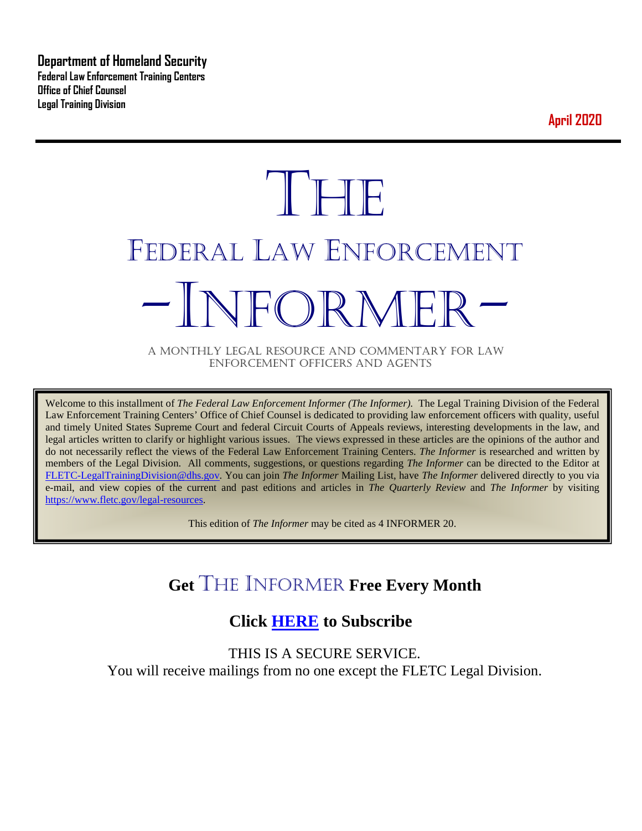**Department of Homeland Security Federal Law Enforcement Training Centers Office of Chief Counsel Legal Training Division** 

**April 2020**

# **THE** FEDERAL LAW ENFORCEMENT -INFORMER- A MONTHLY LEGAL RESOURCE AND COMMENTARY FOR LAW

ENFORCEMENT OFFICERS AND AGENTS

Welcome to this installment of *The Federal Law Enforcement Informer (The Informer).* The Legal Training Division of the Federal Law Enforcement Training Centers' Office of Chief Counsel is dedicated to providing law enforcement officers with quality, useful and timely United States Supreme Court and federal Circuit Courts of Appeals reviews, interesting developments in the law, and legal articles written to clarify or highlight various issues. The views expressed in these articles are the opinions of the author and do not necessarily reflect the views of the Federal Law Enforcement Training Centers. *The Informer* is researched and written by members of the Legal Division. All comments, suggestions, or questions regarding *The Informer* can be directed to the Editor at [FLETC-LegalTrainingDivision@dhs.gov.](mailto:FLETC-LegalTrainingDivision@dhs.gov) You can join *The Informer* Mailing List, have *The Informer* delivered directly to you via e-mail, and view copies of the current and past editions and articles in *The Quarterly Review* and *The Informer* by visiting [https://www.fletc.gov/legal-resources.](https://www.fletc.gov/legal-resources)

This edition of *The Informer* may be cited as 4 INFORMER 20.

# **Get** THE INFORMER **Free Every Month**

# **Click [HERE](https://app.co-sender.com/opt-in/list/7b007eab-378b-4542-807f-44d6de94cb7e) to Subscribe**

THIS IS A SECURE SERVICE. You will receive mailings from no one except the FLETC Legal Division.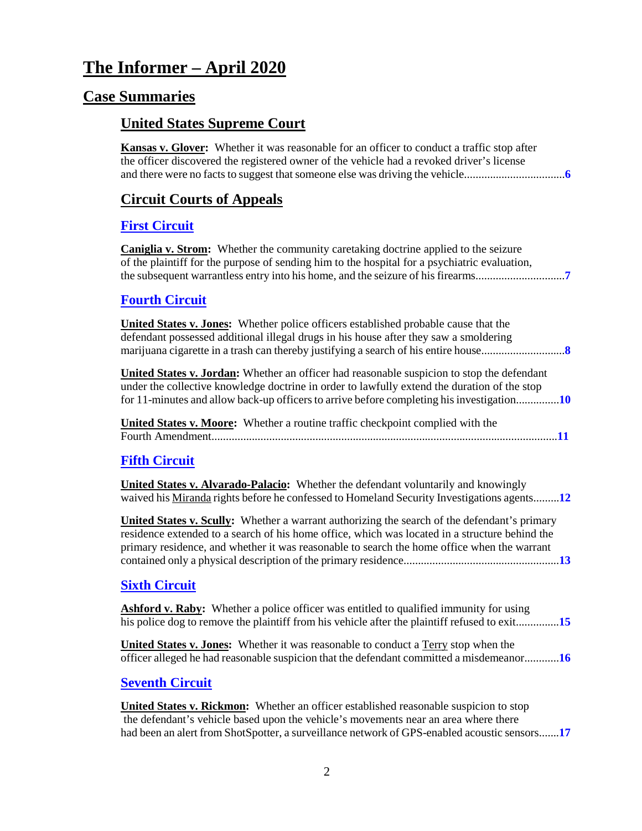# **The Informer – April 2020**

### **Case Summaries**

### **United States Supreme Court**

**Kansas v. Glover:** Whether it was reasonable for an officer to conduct a traffic stop after the officer discovered the registered owner of the vehicle had a revoked driver's license and there were no facts to suggest that someone else was driving the vehicle...................................**[6](#page-5-0)**

### **[Circuit Courts of Appeals](#page-5-1)**

### **[First Circuit](#page-6-0)**

**Caniglia v. Strom:** Whether the community caretaking doctrine applied to the seizure of the plaintiff for the purpose of sending him to the hospital for a psychiatric evaluation, the subsequent warrantless entry into his home, and the seizure of his firearms...............................**[7](#page-6-1)**

### **[Fourth Circuit](#page-7-0)**

**United States v. Jones:** Whether police officers established probable cause that the defendant possessed additional illegal drugs in his house after they saw a smoldering marijuana cigarette in a trash can thereby justifying a search of his entire house.............................**[8](#page-7-1)**

**United States v. Jordan:** Whether an officer had reasonable suspicion to stop the defendant under the collective knowledge doctrine in order to lawfully extend the duration of the stop for 11-minutes and allow back-up officers to arrive before completing his investigation...............**[10](#page-9-0)**

**United States v. Moore:** Whether a routine traffic checkpoint complied with the Fourth Amendment........................................................................................................................**[11](#page-10-0)**

### **[Fifth Circuit](#page-11-0)**

**United States v. Alvarado-Palacio:** Whether the defendant voluntarily and knowingly waived his Miranda rights before he confessed to Homeland Security Investigations agents.........**[12](#page-11-1)**

**United States v. Scully:** Whether a warrant authorizing the search of the defendant's primary residence extended to a search of his home office, which was located in a structure behind the primary residence, and whether it was reasonable to search the home office when the warrant contained only a physical description of the primary residence......................................................**[13](#page-12-0)**

### **[Sixth Circuit](#page-14-0)**

**Ashford v. Raby:** Whether a police officer was entitled to qualified immunity for using his police dog to remove the plaintiff from his vehicle after the plaintiff refused to exit...............**[15](#page-14-1)**

**United States v. Jones:** Whether it was reasonable to conduct a Terry stop when the officer alleged he had reasonable suspicion that the defendant committed a misdemeanor............**[16](#page-15-0)**

### **[Seventh Circuit](#page-16-0)**

**United States v. Rickmon:** Whether an officer established reasonable suspicion to stop the defendant's vehicle based upon the vehicle's movements near an area where there had been an alert from ShotSpotter, a surveillance network of GPS-enabled acoustic sensors.......**[17](#page-16-1)**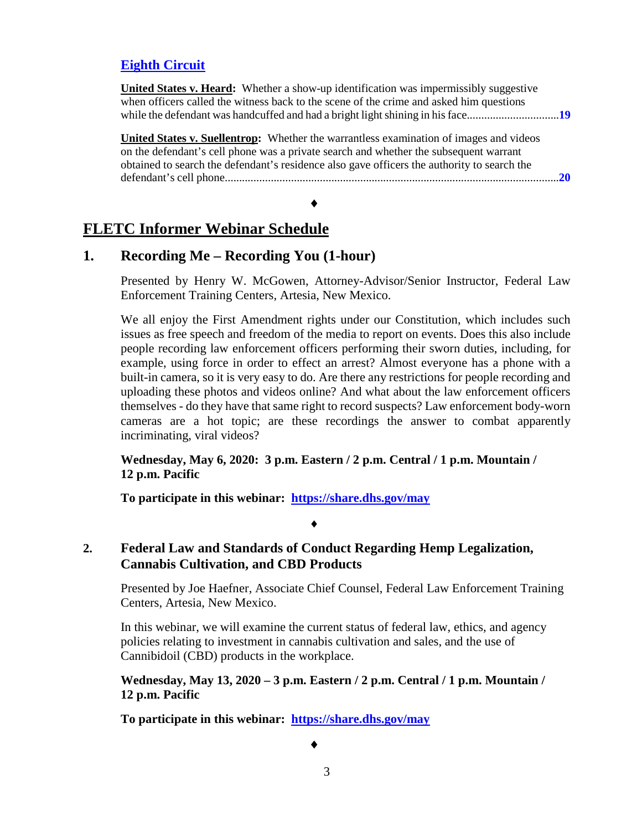### **[Eighth Circuit](#page-18-0)**

| <b>United States v. Heard:</b> Whether a show-up identification was impermissibly suggestive<br>when officers called the witness back to the scene of the crime and asked him questions                                                                                               |    |
|---------------------------------------------------------------------------------------------------------------------------------------------------------------------------------------------------------------------------------------------------------------------------------------|----|
| <b>United States v. Suellentrop:</b> Whether the warrantless examination of images and videos<br>on the defendant's cell phone was a private search and whether the subsequent warrant<br>obtained to search the defendant's residence also gave officers the authority to search the | 20 |

### **FLETC Informer Webinar Schedule**

### **1. Recording Me – Recording You (1-hour)**

Presented by Henry W. McGowen, Attorney-Advisor/Senior Instructor, Federal Law Enforcement Training Centers, Artesia, New Mexico.

We all enjoy the First Amendment rights under our Constitution, which includes such issues as free speech and freedom of the media to report on events. Does this also include people recording law enforcement officers performing their sworn duties, including, for example, using force in order to effect an arrest? Almost everyone has a phone with a built-in camera, so it is very easy to do. Are there any restrictions for people recording and uploading these photos and videos online? And what about the law enforcement officers themselves - do they have that same right to record suspects? Law enforcement body-worn cameras are a hot topic; are these recordings the answer to combat apparently incriminating, viral videos?

**Wednesday, May 6, 2020: 3 p.m. Eastern / 2 p.m. Central / 1 p.m. Mountain / 12 p.m. Pacific**

**To participate in this webinar: <https://share.dhs.gov/may>**

### **2. Federal Law and Standards of Conduct Regarding Hemp Legalization, Cannabis Cultivation, and CBD Products**

♦

Presented by Joe Haefner, Associate Chief Counsel, Federal Law Enforcement Training Centers, Artesia, New Mexico.

In this webinar, we will examine the current status of federal law, ethics, and agency policies relating to investment in cannabis cultivation and sales, and the use of Cannibidoil (CBD) products in the workplace.

**Wednesday, May 13, 2020 – 3 p.m. Eastern / 2 p.m. Central / 1 p.m. Mountain / 12 p.m. Pacific**

**To participate in this webinar: <https://share.dhs.gov/may>**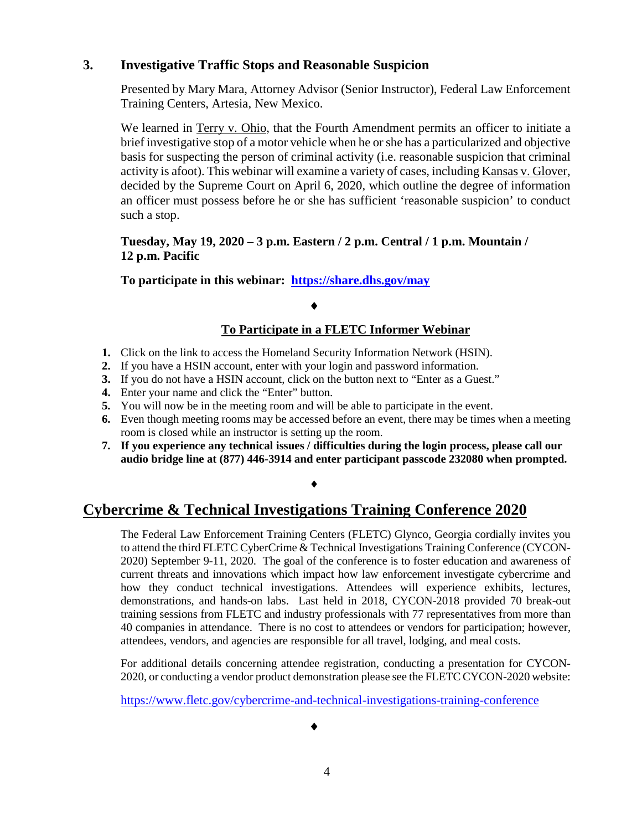### **3. Investigative Traffic Stops and Reasonable Suspicion**

Presented by Mary Mara, Attorney Advisor (Senior Instructor), Federal Law Enforcement Training Centers, Artesia, New Mexico.

We learned in Terry v. Ohio, that the Fourth Amendment permits an officer to initiate a brief investigative stop of a motor vehicle when he or she has a particularized and objective basis for suspecting the person of criminal activity (i.e. reasonable suspicion that criminal activity is afoot). This webinar will examine a variety of cases, including Kansas v. Glover, decided by the Supreme Court on April 6, 2020, which outline the degree of information an officer must possess before he or she has sufficient 'reasonable suspicion' to conduct such a stop.

### **Tuesday, May 19, 2020 – 3 p.m. Eastern / 2 p.m. Central / 1 p.m. Mountain / 12 p.m. Pacific**

**To participate in this webinar: <https://share.dhs.gov/may>**

### ♦

### **To Participate in a FLETC Informer Webinar**

- **1.** Click on the link to access the Homeland Security Information Network (HSIN).
- **2.** If you have a HSIN account, enter with your login and password information.
- **3.** If you do not have a HSIN account, click on the button next to "Enter as a Guest."
- **4.** Enter your name and click the "Enter" button.
- **5.** You will now be in the meeting room and will be able to participate in the event.
- **6.** Even though meeting rooms may be accessed before an event, there may be times when a meeting room is closed while an instructor is setting up the room.
- **7. If you experience any technical issues / difficulties during the login process, please call our audio bridge line at (877) 446-3914 and enter participant passcode 232080 when prompted.**

### ♦

# **Cybercrime & Technical Investigations Training Conference 2020**

The Federal Law Enforcement Training Centers (FLETC) Glynco, Georgia cordially invites you to attend the third FLETC CyberCrime & Technical Investigations Training Conference (CYCON-2020) September 9-11, 2020. The goal of the conference is to foster education and awareness of current threats and innovations which impact how law enforcement investigate cybercrime and how they conduct technical investigations. Attendees will experience exhibits, lectures, demonstrations, and hands-on labs. Last held in 2018, CYCON-2018 provided 70 break-out training sessions from FLETC and industry professionals with 77 representatives from more than 40 companies in attendance. There is no cost to attendees or vendors for participation; however, attendees, vendors, and agencies are responsible for all travel, lodging, and meal costs.

For additional details concerning attendee registration, conducting a presentation for CYCON-2020, or conducting a vendor product demonstration please see the FLETC CYCON-2020 website:

<https://www.fletc.gov/cybercrime-and-technical-investigations-training-conference>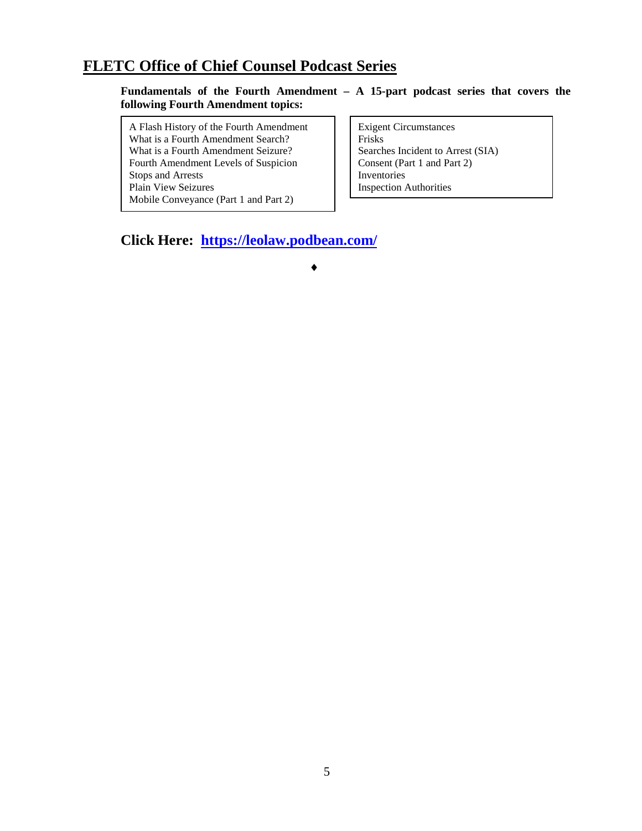# **FLETC Office of Chief Counsel Podcast Series**

#### **Fundamentals of the Fourth Amendment – A 15-part podcast series that covers the following Fourth Amendment topics:**

A Flash History of the Fourth Amendment What is a Fourth Amendment Search? What is a Fourth Amendment Seizure? Fourth Amendment Levels of Suspicion Stops and Arrests Plain View Seizures Mobile Conveyance (Part 1 and Part 2)

Exigent Circumstances Frisks Searches Incident to Arrest (SIA) Consent (Part 1 and Part 2) Inventories Inspection Authorities

**Click Here: <https://leolaw.podbean.com/>**

♦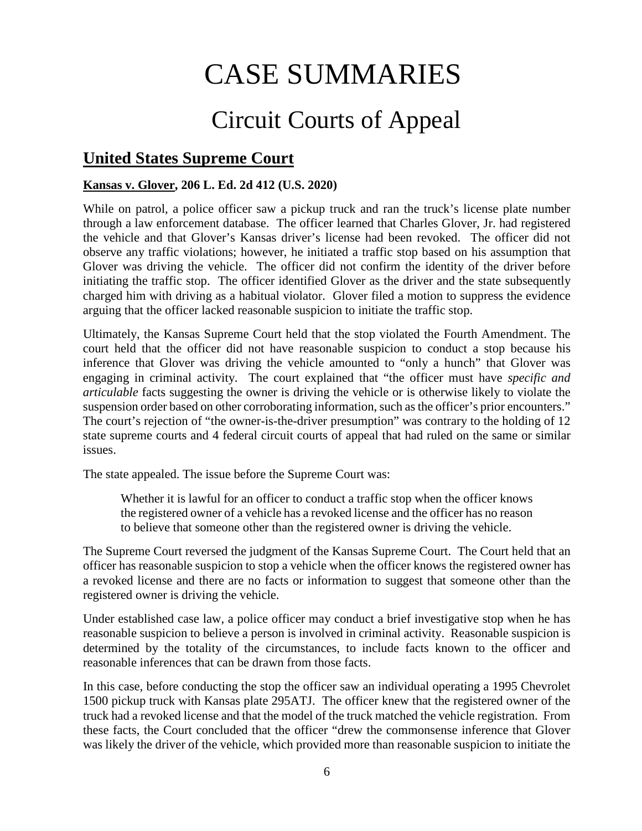# CASE SUMMARIES

# Circuit Courts of Appeal

# <span id="page-5-1"></span>**United States Supreme Court**

### <span id="page-5-0"></span>**Kansas v. Glover, 206 L. Ed. 2d 412 (U.S. 2020)**

While on patrol, a police officer saw a pickup truck and ran the truck's license plate number through a law enforcement database. The officer learned that Charles Glover, Jr. had registered the vehicle and that Glover's Kansas driver's license had been revoked. The officer did not observe any traffic violations; however, he initiated a traffic stop based on his assumption that Glover was driving the vehicle. The officer did not confirm the identity of the driver before initiating the traffic stop. The officer identified Glover as the driver and the state subsequently charged him with driving as a habitual violator. Glover filed a motion to suppress the evidence arguing that the officer lacked reasonable suspicion to initiate the traffic stop.

Ultimately, the Kansas Supreme Court held that the stop violated the Fourth Amendment. The court held that the officer did not have reasonable suspicion to conduct a stop because his inference that Glover was driving the vehicle amounted to "only a hunch" that Glover was engaging in criminal activity. The court explained that "the officer must have *specific and articulable* facts suggesting the owner is driving the vehicle or is otherwise likely to violate the suspension order based on other corroborating information, such as the officer's prior encounters." The court's rejection of "the owner-is-the-driver presumption" was contrary to the holding of 12 state supreme courts and 4 federal circuit courts of appeal that had ruled on the same or similar issues.

The state appealed. The issue before the Supreme Court was:

Whether it is lawful for an officer to conduct a traffic stop when the officer knows the registered owner of a vehicle has a revoked license and the officer has no reason to believe that someone other than the registered owner is driving the vehicle.

The Supreme Court reversed the judgment of the Kansas Supreme Court. The Court held that an officer has reasonable suspicion to stop a vehicle when the officer knows the registered owner has a revoked license and there are no facts or information to suggest that someone other than the registered owner is driving the vehicle.

Under established case law, a police officer may conduct a brief investigative stop when he has reasonable suspicion to believe a person is involved in criminal activity. Reasonable suspicion is determined by the totality of the circumstances, to include facts known to the officer and reasonable inferences that can be drawn from those facts.

In this case, before conducting the stop the officer saw an individual operating a 1995 Chevrolet 1500 pickup truck with Kansas plate 295ATJ. The officer knew that the registered owner of the truck had a revoked license and that the model of the truck matched the vehicle registration. From these facts, the Court concluded that the officer "drew the commonsense inference that Glover was likely the driver of the vehicle, which provided more than reasonable suspicion to initiate the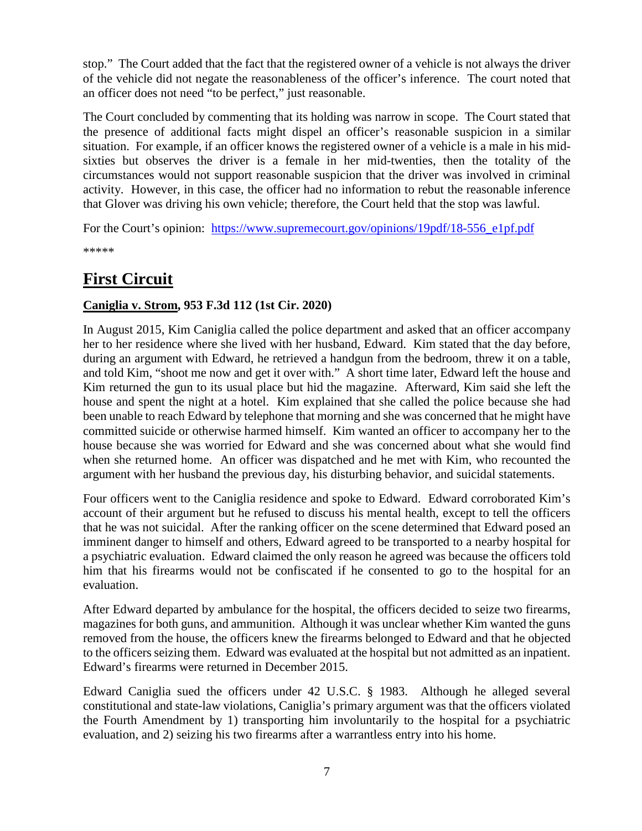stop." The Court added that the fact that the registered owner of a vehicle is not always the driver of the vehicle did not negate the reasonableness of the officer's inference. The court noted that an officer does not need "to be perfect," just reasonable.

The Court concluded by commenting that its holding was narrow in scope. The Court stated that the presence of additional facts might dispel an officer's reasonable suspicion in a similar situation. For example, if an officer knows the registered owner of a vehicle is a male in his midsixties but observes the driver is a female in her mid-twenties, then the totality of the circumstances would not support reasonable suspicion that the driver was involved in criminal activity. However, in this case, the officer had no information to rebut the reasonable inference that Glover was driving his own vehicle; therefore, the Court held that the stop was lawful.

For the Court's opinion: [https://www.supremecourt.gov/opinions/19pdf/18-556\\_e1pf.pdf](https://www.supremecourt.gov/opinions/19pdf/18-556_e1pf.pdf)

\*\*\*\*\*

# <span id="page-6-0"></span>**First Circuit**

### <span id="page-6-1"></span>**Caniglia v. Strom, 953 F.3d 112 (1st Cir. 2020)**

In August 2015, Kim Caniglia called the police department and asked that an officer accompany her to her residence where she lived with her husband, Edward. Kim stated that the day before, during an argument with Edward, he retrieved a handgun from the bedroom, threw it on a table, and told Kim, "shoot me now and get it over with." A short time later, Edward left the house and Kim returned the gun to its usual place but hid the magazine. Afterward, Kim said she left the house and spent the night at a hotel. Kim explained that she called the police because she had been unable to reach Edward by telephone that morning and she was concerned that he might have committed suicide or otherwise harmed himself. Kim wanted an officer to accompany her to the house because she was worried for Edward and she was concerned about what she would find when she returned home. An officer was dispatched and he met with Kim, who recounted the argument with her husband the previous day, his disturbing behavior, and suicidal statements.

Four officers went to the Caniglia residence and spoke to Edward. Edward corroborated Kim's account of their argument but he refused to discuss his mental health, except to tell the officers that he was not suicidal. After the ranking officer on the scene determined that Edward posed an imminent danger to himself and others, Edward agreed to be transported to a nearby hospital for a psychiatric evaluation. Edward claimed the only reason he agreed was because the officers told him that his firearms would not be confiscated if he consented to go to the hospital for an evaluation.

After Edward departed by ambulance for the hospital, the officers decided to seize two firearms, magazines for both guns, and ammunition. Although it was unclear whether Kim wanted the guns removed from the house, the officers knew the firearms belonged to Edward and that he objected to the officers seizing them. Edward was evaluated at the hospital but not admitted as an inpatient. Edward's firearms were returned in December 2015.

Edward Caniglia sued the officers under 42 U.S.C. § 1983. Although he alleged several constitutional and state-law violations, Caniglia's primary argument was that the officers violated the Fourth Amendment by 1) transporting him involuntarily to the hospital for a psychiatric evaluation, and 2) seizing his two firearms after a warrantless entry into his home.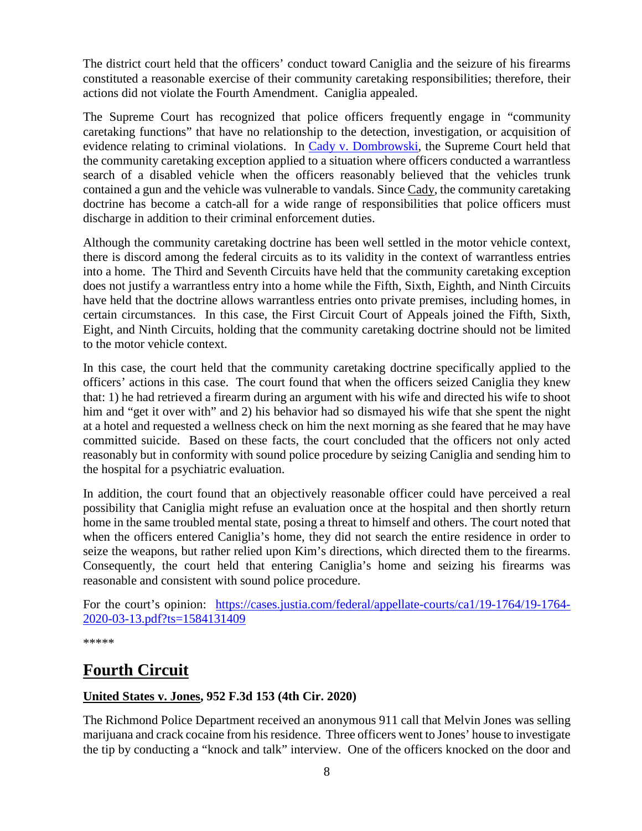The district court held that the officers' conduct toward Caniglia and the seizure of his firearms constituted a reasonable exercise of their community caretaking responsibilities; therefore, their actions did not violate the Fourth Amendment. Caniglia appealed.

The Supreme Court has recognized that police officers frequently engage in "community caretaking functions" that have no relationship to the detection, investigation, or acquisition of evidence relating to criminal violations. In [Cady v. Dombrowski,](https://supreme.justia.com/cases/federal/us/413/433/) the Supreme Court held that the community caretaking exception applied to a situation where officers conducted a warrantless search of a disabled vehicle when the officers reasonably believed that the vehicles trunk contained a gun and the vehicle was vulnerable to vandals. Since Cady, the community caretaking doctrine has become a catch-all for a wide range of responsibilities that police officers must discharge in addition to their criminal enforcement duties.

Although the community caretaking doctrine has been well settled in the motor vehicle context, there is discord among the federal circuits as to its validity in the context of warrantless entries into a home. The Third and Seventh Circuits have held that the community caretaking exception does not justify a warrantless entry into a home while the Fifth, Sixth, Eighth, and Ninth Circuits have held that the doctrine allows warrantless entries onto private premises, including homes, in certain circumstances. In this case, the First Circuit Court of Appeals joined the Fifth, Sixth, Eight, and Ninth Circuits, holding that the community caretaking doctrine should not be limited to the motor vehicle context.

In this case, the court held that the community caretaking doctrine specifically applied to the officers' actions in this case. The court found that when the officers seized Caniglia they knew that: 1) he had retrieved a firearm during an argument with his wife and directed his wife to shoot him and "get it over with" and 2) his behavior had so dismayed his wife that she spent the night at a hotel and requested a wellness check on him the next morning as she feared that he may have committed suicide. Based on these facts, the court concluded that the officers not only acted reasonably but in conformity with sound police procedure by seizing Caniglia and sending him to the hospital for a psychiatric evaluation.

In addition, the court found that an objectively reasonable officer could have perceived a real possibility that Caniglia might refuse an evaluation once at the hospital and then shortly return home in the same troubled mental state, posing a threat to himself and others. The court noted that when the officers entered Caniglia's home, they did not search the entire residence in order to seize the weapons, but rather relied upon Kim's directions, which directed them to the firearms. Consequently, the court held that entering Caniglia's home and seizing his firearms was reasonable and consistent with sound police procedure.

For the court's opinion: [https://cases.justia.com/federal/appellate-courts/ca1/19-1764/19-1764-](https://cases.justia.com/federal/appellate-courts/ca1/19-1764/19-1764-2020-03-13.pdf?ts=1584131409) [2020-03-13.pdf?ts=1584131409](https://cases.justia.com/federal/appellate-courts/ca1/19-1764/19-1764-2020-03-13.pdf?ts=1584131409)

\*\*\*\*\*

# <span id="page-7-0"></span>**Fourth Circuit**

### <span id="page-7-1"></span>**United States v. Jones, 952 F.3d 153 (4th Cir. 2020)**

The Richmond Police Department received an anonymous 911 call that Melvin Jones was selling marijuana and crack cocaine from his residence. Three officers went to Jones' house to investigate the tip by conducting a "knock and talk" interview. One of the officers knocked on the door and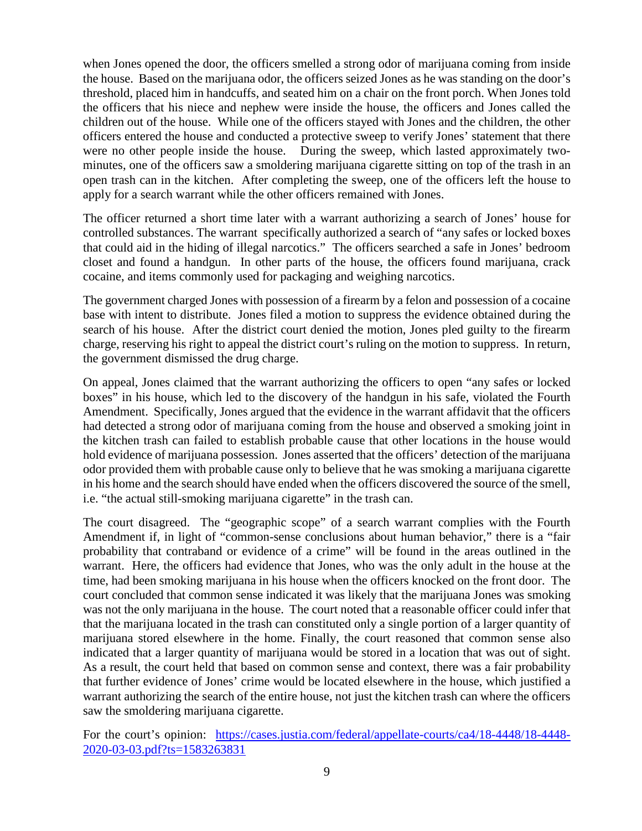when Jones opened the door, the officers smelled a strong odor of marijuana coming from inside the house. Based on the marijuana odor, the officers seized Jones as he was standing on the door's threshold, placed him in handcuffs, and seated him on a chair on the front porch. When Jones told the officers that his niece and nephew were inside the house, the officers and Jones called the children out of the house. While one of the officers stayed with Jones and the children, the other officers entered the house and conducted a protective sweep to verify Jones' statement that there were no other people inside the house. During the sweep, which lasted approximately twominutes, one of the officers saw a smoldering marijuana cigarette sitting on top of the trash in an open trash can in the kitchen. After completing the sweep, one of the officers left the house to apply for a search warrant while the other officers remained with Jones.

The officer returned a short time later with a warrant authorizing a search of Jones' house for controlled substances. The warrant specifically authorized a search of "any safes or locked boxes that could aid in the hiding of illegal narcotics." The officers searched a safe in Jones' bedroom closet and found a handgun. In other parts of the house, the officers found marijuana, crack cocaine, and items commonly used for packaging and weighing narcotics.

The government charged Jones with possession of a firearm by a felon and possession of a cocaine base with intent to distribute. Jones filed a motion to suppress the evidence obtained during the search of his house. After the district court denied the motion, Jones pled guilty to the firearm charge, reserving his right to appeal the district court's ruling on the motion to suppress. In return, the government dismissed the drug charge.

On appeal, Jones claimed that the warrant authorizing the officers to open "any safes or locked boxes" in his house, which led to the discovery of the handgun in his safe, violated the Fourth Amendment. Specifically, Jones argued that the evidence in the warrant affidavit that the officers had detected a strong odor of marijuana coming from the house and observed a smoking joint in the kitchen trash can failed to establish probable cause that other locations in the house would hold evidence of marijuana possession. Jones asserted that the officers' detection of the marijuana odor provided them with probable cause only to believe that he was smoking a marijuana cigarette in his home and the search should have ended when the officers discovered the source of the smell, i.e. "the actual still-smoking marijuana cigarette" in the trash can.

The court disagreed. The "geographic scope" of a search warrant complies with the Fourth Amendment if, in light of "common-sense conclusions about human behavior," there is a "fair probability that contraband or evidence of a crime" will be found in the areas outlined in the warrant. Here, the officers had evidence that Jones, who was the only adult in the house at the time, had been smoking marijuana in his house when the officers knocked on the front door. The court concluded that common sense indicated it was likely that the marijuana Jones was smoking was not the only marijuana in the house. The court noted that a reasonable officer could infer that that the marijuana located in the trash can constituted only a single portion of a larger quantity of marijuana stored elsewhere in the home. Finally, the court reasoned that common sense also indicated that a larger quantity of marijuana would be stored in a location that was out of sight. As a result, the court held that based on common sense and context, there was a fair probability that further evidence of Jones' crime would be located elsewhere in the house, which justified a warrant authorizing the search of the entire house, not just the kitchen trash can where the officers saw the smoldering marijuana cigarette.

For the court's opinion: [https://cases.justia.com/federal/appellate-courts/ca4/18-4448/18-4448-](https://cases.justia.com/federal/appellate-courts/ca4/18-4448/18-4448-2020-03-03.pdf?ts=1583263831) [2020-03-03.pdf?ts=1583263831](https://cases.justia.com/federal/appellate-courts/ca4/18-4448/18-4448-2020-03-03.pdf?ts=1583263831)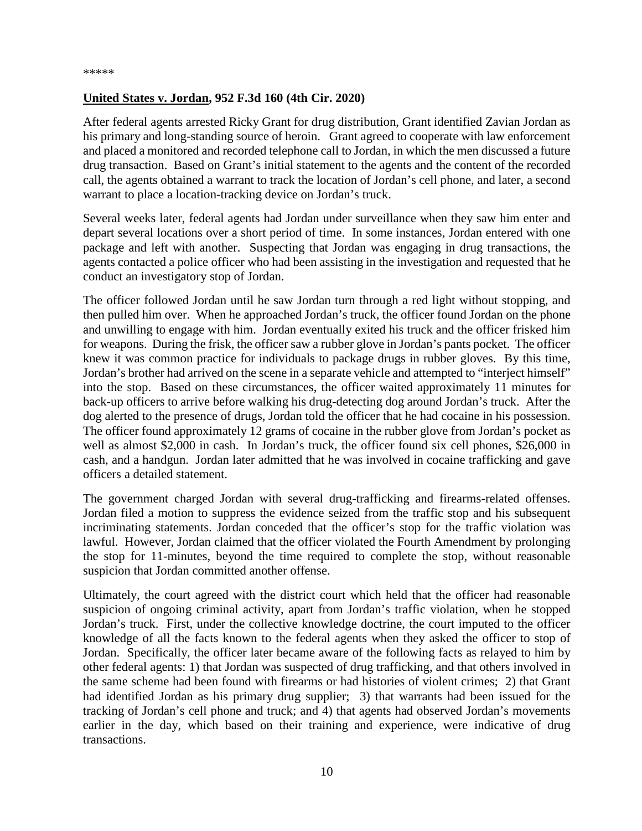### <span id="page-9-0"></span>**United States v. Jordan, 952 F.3d 160 (4th Cir. 2020)**

After federal agents arrested Ricky Grant for drug distribution, Grant identified Zavian Jordan as his primary and long-standing source of heroin. Grant agreed to cooperate with law enforcement and placed a monitored and recorded telephone call to Jordan, in which the men discussed a future drug transaction. Based on Grant's initial statement to the agents and the content of the recorded call, the agents obtained a warrant to track the location of Jordan's cell phone, and later, a second warrant to place a location-tracking device on Jordan's truck.

Several weeks later, federal agents had Jordan under surveillance when they saw him enter and depart several locations over a short period of time. In some instances, Jordan entered with one package and left with another. Suspecting that Jordan was engaging in drug transactions, the agents contacted a police officer who had been assisting in the investigation and requested that he conduct an investigatory stop of Jordan.

The officer followed Jordan until he saw Jordan turn through a red light without stopping, and then pulled him over. When he approached Jordan's truck, the officer found Jordan on the phone and unwilling to engage with him. Jordan eventually exited his truck and the officer frisked him for weapons. During the frisk, the officer saw a rubber glove in Jordan's pants pocket. The officer knew it was common practice for individuals to package drugs in rubber gloves. By this time, Jordan's brother had arrived on the scene in a separate vehicle and attempted to "interject himself" into the stop. Based on these circumstances, the officer waited approximately 11 minutes for back-up officers to arrive before walking his drug-detecting dog around Jordan's truck. After the dog alerted to the presence of drugs, Jordan told the officer that he had cocaine in his possession. The officer found approximately 12 grams of cocaine in the rubber glove from Jordan's pocket as well as almost \$2,000 in cash. In Jordan's truck, the officer found six cell phones, \$26,000 in cash, and a handgun. Jordan later admitted that he was involved in cocaine trafficking and gave officers a detailed statement.

The government charged Jordan with several drug-trafficking and firearms-related offenses. Jordan filed a motion to suppress the evidence seized from the traffic stop and his subsequent incriminating statements. Jordan conceded that the officer's stop for the traffic violation was lawful. However, Jordan claimed that the officer violated the Fourth Amendment by prolonging the stop for 11-minutes, beyond the time required to complete the stop, without reasonable suspicion that Jordan committed another offense.

Ultimately, the court agreed with the district court which held that the officer had reasonable suspicion of ongoing criminal activity, apart from Jordan's traffic violation, when he stopped Jordan's truck. First, under the collective knowledge doctrine, the court imputed to the officer knowledge of all the facts known to the federal agents when they asked the officer to stop of Jordan. Specifically, the officer later became aware of the following facts as relayed to him by other federal agents: 1) that Jordan was suspected of drug trafficking, and that others involved in the same scheme had been found with firearms or had histories of violent crimes; 2) that Grant had identified Jordan as his primary drug supplier; 3) that warrants had been issued for the tracking of Jordan's cell phone and truck; and 4) that agents had observed Jordan's movements earlier in the day, which based on their training and experience, were indicative of drug transactions.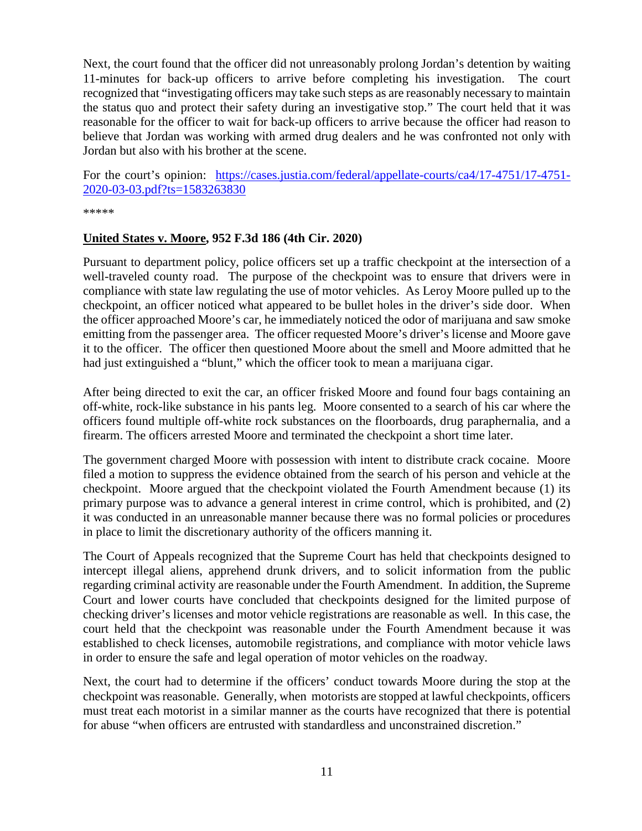Next, the court found that the officer did not unreasonably prolong Jordan's detention by waiting 11-minutes for back-up officers to arrive before completing his investigation. The court recognized that "investigating officers may take such steps as are reasonably necessary to maintain the status quo and protect their safety during an investigative stop." The court held that it was reasonable for the officer to wait for back-up officers to arrive because the officer had reason to believe that Jordan was working with armed drug dealers and he was confronted not only with Jordan but also with his brother at the scene.

For the court's opinion: [https://cases.justia.com/federal/appellate-courts/ca4/17-4751/17-4751-](https://cases.justia.com/federal/appellate-courts/ca4/17-4751/17-4751-2020-03-03.pdf?ts=1583263830) [2020-03-03.pdf?ts=1583263830](https://cases.justia.com/federal/appellate-courts/ca4/17-4751/17-4751-2020-03-03.pdf?ts=1583263830)

\*\*\*\*\*

#### <span id="page-10-0"></span>**United States v. Moore, 952 F.3d 186 (4th Cir. 2020)**

Pursuant to department policy, police officers set up a traffic checkpoint at the intersection of a well-traveled county road. The purpose of the checkpoint was to ensure that drivers were in compliance with state law regulating the use of motor vehicles. As Leroy Moore pulled up to the checkpoint, an officer noticed what appeared to be bullet holes in the driver's side door. When the officer approached Moore's car, he immediately noticed the odor of marijuana and saw smoke emitting from the passenger area. The officer requested Moore's driver's license and Moore gave it to the officer. The officer then questioned Moore about the smell and Moore admitted that he had just extinguished a "blunt," which the officer took to mean a marijuana cigar.

After being directed to exit the car, an officer frisked Moore and found four bags containing an off-white, rock-like substance in his pants leg. Moore consented to a search of his car where the officers found multiple off-white rock substances on the floorboards, drug paraphernalia, and a firearm. The officers arrested Moore and terminated the checkpoint a short time later.

The government charged Moore with possession with intent to distribute crack cocaine. Moore filed a motion to suppress the evidence obtained from the search of his person and vehicle at the checkpoint. Moore argued that the checkpoint violated the Fourth Amendment because (1) its primary purpose was to advance a general interest in crime control, which is prohibited, and (2) it was conducted in an unreasonable manner because there was no formal policies or procedures in place to limit the discretionary authority of the officers manning it.

The Court of Appeals recognized that the Supreme Court has held that checkpoints designed to intercept illegal aliens, apprehend drunk drivers, and to solicit information from the public regarding criminal activity are reasonable under the Fourth Amendment. In addition, the Supreme Court and lower courts have concluded that checkpoints designed for the limited purpose of checking driver's licenses and motor vehicle registrations are reasonable as well. In this case, the court held that the checkpoint was reasonable under the Fourth Amendment because it was established to check licenses, automobile registrations, and compliance with motor vehicle laws in order to ensure the safe and legal operation of motor vehicles on the roadway.

Next, the court had to determine if the officers' conduct towards Moore during the stop at the checkpoint was reasonable. Generally, when motorists are stopped at lawful checkpoints, officers must treat each motorist in a similar manner as the courts have recognized that there is potential for abuse "when officers are entrusted with standardless and unconstrained discretion."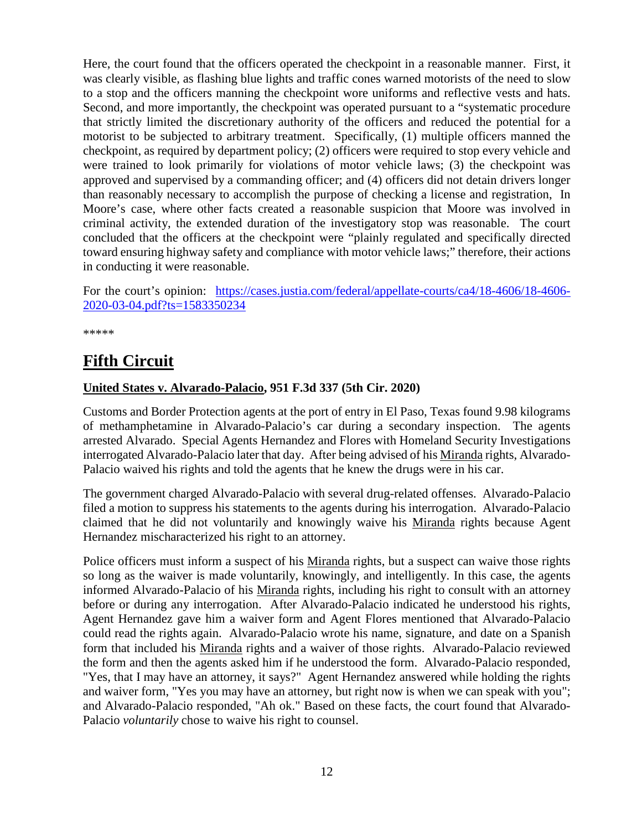Here, the court found that the officers operated the checkpoint in a reasonable manner. First, it was clearly visible, as flashing blue lights and traffic cones warned motorists of the need to slow to a stop and the officers manning the checkpoint wore uniforms and reflective vests and hats. Second, and more importantly, the checkpoint was operated pursuant to a "systematic procedure that strictly limited the discretionary authority of the officers and reduced the potential for a motorist to be subjected to arbitrary treatment. Specifically, (1) multiple officers manned the checkpoint, as required by department policy; (2) officers were required to stop every vehicle and were trained to look primarily for violations of motor vehicle laws; (3) the checkpoint was approved and supervised by a commanding officer; and (4) officers did not detain drivers longer than reasonably necessary to accomplish the purpose of checking a license and registration, In Moore's case, where other facts created a reasonable suspicion that Moore was involved in criminal activity, the extended duration of the investigatory stop was reasonable. The court concluded that the officers at the checkpoint were "plainly regulated and specifically directed toward ensuring highway safety and compliance with motor vehicle laws;" therefore, their actions in conducting it were reasonable.

For the court's opinion: [https://cases.justia.com/federal/appellate-courts/ca4/18-4606/18-4606-](https://cases.justia.com/federal/appellate-courts/ca4/18-4606/18-4606-2020-03-04.pdf?ts=1583350234) [2020-03-04.pdf?ts=1583350234](https://cases.justia.com/federal/appellate-courts/ca4/18-4606/18-4606-2020-03-04.pdf?ts=1583350234)

\*\*\*\*\*

# <span id="page-11-0"></span>**Fifth Circuit**

### <span id="page-11-1"></span>**United States v. Alvarado-Palacio, 951 F.3d 337 (5th Cir. 2020)**

Customs and Border Protection agents at the port of entry in El Paso, Texas found 9.98 kilograms of methamphetamine in Alvarado-Palacio's car during a secondary inspection. The agents arrested Alvarado. Special Agents Hernandez and Flores with Homeland Security Investigations interrogated Alvarado-Palacio later that day. After being advised of his Miranda rights, Alvarado-Palacio waived his rights and told the agents that he knew the drugs were in his car.

The government charged Alvarado-Palacio with several drug-related offenses. Alvarado-Palacio filed a motion to suppress his statements to the agents during his interrogation. Alvarado-Palacio claimed that he did not voluntarily and knowingly waive his Miranda rights because Agent Hernandez mischaracterized his right to an attorney.

Police officers must inform a suspect of his Miranda rights, but a suspect can waive those rights so long as the waiver is made voluntarily, knowingly, and intelligently. In this case, the agents informed Alvarado-Palacio of his Miranda rights, including his right to consult with an attorney before or during any interrogation. After Alvarado-Palacio indicated he understood his rights, Agent Hernandez gave him a waiver form and Agent Flores mentioned that Alvarado-Palacio could read the rights again. Alvarado-Palacio wrote his name, signature, and date on a Spanish form that included his Miranda rights and a waiver of those rights. Alvarado-Palacio reviewed the form and then the agents asked him if he understood the form. Alvarado-Palacio responded, "Yes, that I may have an attorney, it says?" Agent Hernandez answered while holding the rights and waiver form, "Yes you may have an attorney, but right now is when we can speak with you"; and Alvarado-Palacio responded, "Ah ok." Based on these facts, the court found that Alvarado-Palacio *voluntarily* chose to waive his right to counsel.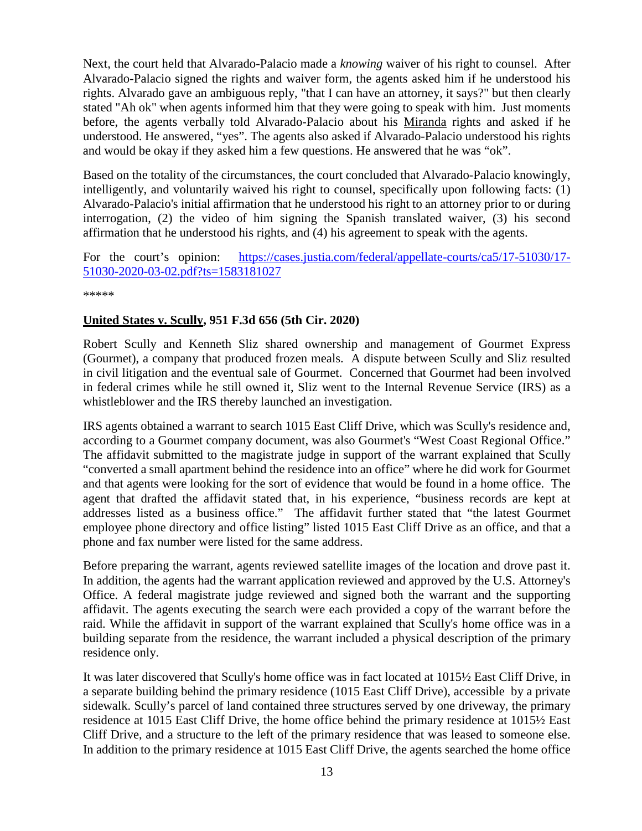Next, the court held that Alvarado-Palacio made a *knowing* waiver of his right to counsel. After Alvarado-Palacio signed the rights and waiver form, the agents asked him if he understood his rights. Alvarado gave an ambiguous reply, "that I can have an attorney, it says?" but then clearly stated "Ah ok" when agents informed him that they were going to speak with him. Just moments before, the agents verbally told Alvarado-Palacio about his Miranda rights and asked if he understood. He answered, "yes". The agents also asked if Alvarado-Palacio understood his rights and would be okay if they asked him a few questions. He answered that he was "ok".

Based on the totality of the circumstances, the court concluded that Alvarado-Palacio knowingly, intelligently, and voluntarily waived his right to counsel, specifically upon following facts: (1) Alvarado-Palacio's initial affirmation that he understood his right to an attorney prior to or during interrogation, (2) the video of him signing the Spanish translated waiver, (3) his second affirmation that he understood his rights, and (4) his agreement to speak with the agents.

For the court's opinion: [https://cases.justia.com/federal/appellate-courts/ca5/17-51030/17-](https://cases.justia.com/federal/appellate-courts/ca5/17-51030/17-51030-2020-03-02.pdf?ts=1583181027) [51030-2020-03-02.pdf?ts=1583181027](https://cases.justia.com/federal/appellate-courts/ca5/17-51030/17-51030-2020-03-02.pdf?ts=1583181027)

\*\*\*\*\*

### <span id="page-12-0"></span>**United States v. Scully, 951 F.3d 656 (5th Cir. 2020)**

Robert Scully and Kenneth Sliz shared ownership and management of Gourmet Express (Gourmet), a company that produced frozen meals. A dispute between Scully and Sliz resulted in civil litigation and the eventual sale of Gourmet. Concerned that Gourmet had been involved in federal crimes while he still owned it, Sliz went to the Internal Revenue Service (IRS) as a whistleblower and the IRS thereby launched an investigation.

IRS agents obtained a warrant to search 1015 East Cliff Drive, which was Scully's residence and, according to a Gourmet company document, was also Gourmet's "West Coast Regional Office." The affidavit submitted to the magistrate judge in support of the warrant explained that Scully "converted a small apartment behind the residence into an office" where he did work for Gourmet and that agents were looking for the sort of evidence that would be found in a home office. The agent that drafted the affidavit stated that, in his experience, "business records are kept at addresses listed as a business office." The affidavit further stated that "the latest Gourmet employee phone directory and office listing" listed 1015 East Cliff Drive as an office, and that a phone and fax number were listed for the same address.

Before preparing the warrant, agents reviewed satellite images of the location and drove past it. In addition, the agents had the warrant application reviewed and approved by the U.S. Attorney's Office. A federal magistrate judge reviewed and signed both the warrant and the supporting affidavit. The agents executing the search were each provided a copy of the warrant before the raid. While the affidavit in support of the warrant explained that Scully's home office was in a building separate from the residence, the warrant included a physical description of the primary residence only.

It was later discovered that Scully's home office was in fact located at 1015½ East Cliff Drive, in a separate building behind the primary residence (1015 East Cliff Drive), accessible by a private sidewalk. Scully's parcel of land contained three structures served by one driveway, the primary residence at 1015 East Cliff Drive, the home office behind the primary residence at 1015½ East Cliff Drive, and a structure to the left of the primary residence that was leased to someone else. In addition to the primary residence at 1015 East Cliff Drive, the agents searched the home office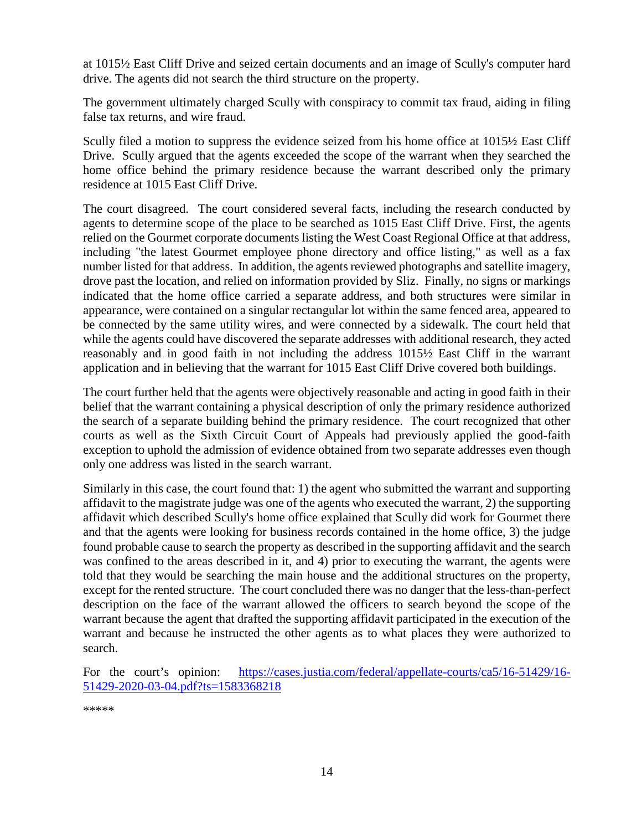at 1015½ East Cliff Drive and seized certain documents and an image of Scully's computer hard drive. The agents did not search the third structure on the property.

The government ultimately charged Scully with conspiracy to commit tax fraud, aiding in filing false tax returns, and wire fraud.

Scully filed a motion to suppress the evidence seized from his home office at 1015½ East Cliff Drive. Scully argued that the agents exceeded the scope of the warrant when they searched the home office behind the primary residence because the warrant described only the primary residence at 1015 East Cliff Drive.

The court disagreed. The court considered several facts, including the research conducted by agents to determine scope of the place to be searched as 1015 East Cliff Drive. First, the agents relied on the Gourmet corporate documents listing the West Coast Regional Office at that address, including "the latest Gourmet employee phone directory and office listing," as well as a fax number listed for that address. In addition, the agents reviewed photographs and satellite imagery, drove past the location, and relied on information provided by Sliz. Finally, no signs or markings indicated that the home office carried a separate address, and both structures were similar in appearance, were contained on a singular rectangular lot within the same fenced area, appeared to be connected by the same utility wires, and were connected by a sidewalk. The court held that while the agents could have discovered the separate addresses with additional research, they acted reasonably and in good faith in not including the address 1015½ East Cliff in the warrant application and in believing that the warrant for 1015 East Cliff Drive covered both buildings.

The court further held that the agents were objectively reasonable and acting in good faith in their belief that the warrant containing a physical description of only the primary residence authorized the search of a separate building behind the primary residence. The court recognized that other courts as well as the Sixth Circuit Court of Appeals had previously applied the good-faith exception to uphold the admission of evidence obtained from two separate addresses even though only one address was listed in the search warrant.

Similarly in this case, the court found that: 1) the agent who submitted the warrant and supporting affidavit to the magistrate judge was one of the agents who executed the warrant, 2) the supporting affidavit which described Scully's home office explained that Scully did work for Gourmet there and that the agents were looking for business records contained in the home office, 3) the judge found probable cause to search the property as described in the supporting affidavit and the search was confined to the areas described in it, and 4) prior to executing the warrant, the agents were told that they would be searching the main house and the additional structures on the property, except for the rented structure. The court concluded there was no danger that the less-than-perfect description on the face of the warrant allowed the officers to search beyond the scope of the warrant because the agent that drafted the supporting affidavit participated in the execution of the warrant and because he instructed the other agents as to what places they were authorized to search.

For the court's opinion: [https://cases.justia.com/federal/appellate-courts/ca5/16-51429/16-](https://cases.justia.com/federal/appellate-courts/ca5/16-51429/16-51429-2020-03-04.pdf?ts=1583368218) [51429-2020-03-04.pdf?ts=1583368218](https://cases.justia.com/federal/appellate-courts/ca5/16-51429/16-51429-2020-03-04.pdf?ts=1583368218)

\*\*\*\*\*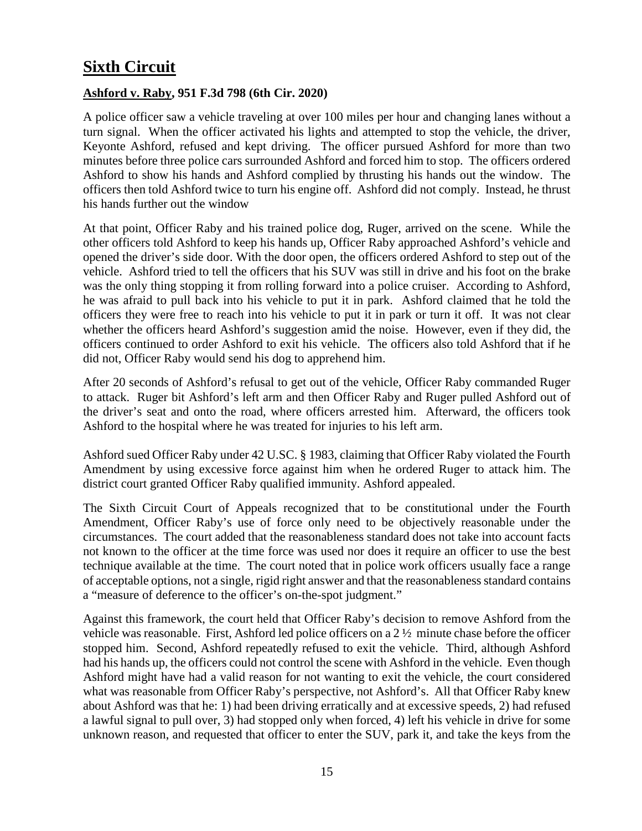# <span id="page-14-0"></span>**Sixth Circuit**

### <span id="page-14-1"></span>**Ashford v. Raby, 951 F.3d 798 (6th Cir. 2020)**

A police officer saw a vehicle traveling at over 100 miles per hour and changing lanes without a turn signal. When the officer activated his lights and attempted to stop the vehicle, the driver, Keyonte Ashford, refused and kept driving. The officer pursued Ashford for more than two minutes before three police cars surrounded Ashford and forced him to stop. The officers ordered Ashford to show his hands and Ashford complied by thrusting his hands out the window. The officers then told Ashford twice to turn his engine off. Ashford did not comply. Instead, he thrust his hands further out the window

At that point, Officer Raby and his trained police dog, Ruger, arrived on the scene. While the other officers told Ashford to keep his hands up, Officer Raby approached Ashford's vehicle and opened the driver's side door. With the door open, the officers ordered Ashford to step out of the vehicle. Ashford tried to tell the officers that his SUV was still in drive and his foot on the brake was the only thing stopping it from rolling forward into a police cruiser. According to Ashford, he was afraid to pull back into his vehicle to put it in park. Ashford claimed that he told the officers they were free to reach into his vehicle to put it in park or turn it off. It was not clear whether the officers heard Ashford's suggestion amid the noise. However, even if they did, the officers continued to order Ashford to exit his vehicle. The officers also told Ashford that if he did not, Officer Raby would send his dog to apprehend him.

After 20 seconds of Ashford's refusal to get out of the vehicle, Officer Raby commanded Ruger to attack. Ruger bit Ashford's left arm and then Officer Raby and Ruger pulled Ashford out of the driver's seat and onto the road, where officers arrested him. Afterward, the officers took Ashford to the hospital where he was treated for injuries to his left arm.

Ashford sued Officer Raby under 42 U.SC. § 1983, claiming that Officer Raby violated the Fourth Amendment by using excessive force against him when he ordered Ruger to attack him. The district court granted Officer Raby qualified immunity. Ashford appealed.

The Sixth Circuit Court of Appeals recognized that to be constitutional under the Fourth Amendment, Officer Raby's use of force only need to be objectively reasonable under the circumstances. The court added that the reasonableness standard does not take into account facts not known to the officer at the time force was used nor does it require an officer to use the best technique available at the time. The court noted that in police work officers usually face a range of acceptable options, not a single, rigid right answer and that the reasonableness standard contains a "measure of deference to the officer's on-the-spot judgment."

Against this framework, the court held that Officer Raby's decision to remove Ashford from the vehicle was reasonable. First, Ashford led police officers on a  $2\frac{1}{2}$  minute chase before the officer stopped him. Second, Ashford repeatedly refused to exit the vehicle. Third, although Ashford had his hands up, the officers could not control the scene with Ashford in the vehicle. Even though Ashford might have had a valid reason for not wanting to exit the vehicle, the court considered what was reasonable from Officer Raby's perspective, not Ashford's. All that Officer Raby knew about Ashford was that he: 1) had been driving erratically and at excessive speeds, 2) had refused a lawful signal to pull over, 3) had stopped only when forced, 4) left his vehicle in drive for some unknown reason, and requested that officer to enter the SUV, park it, and take the keys from the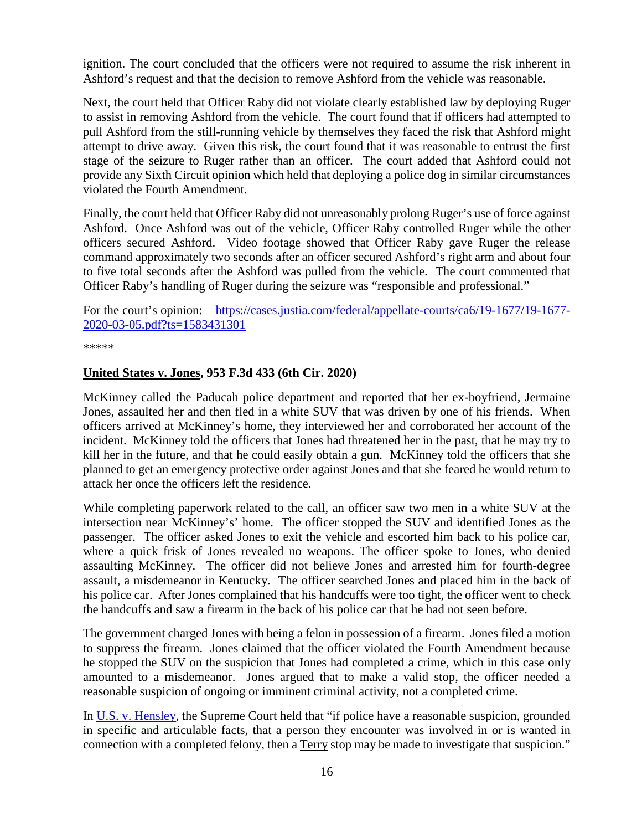ignition. The court concluded that the officers were not required to assume the risk inherent in Ashford's request and that the decision to remove Ashford from the vehicle was reasonable.

Next, the court held that Officer Raby did not violate clearly established law by deploying Ruger to assist in removing Ashford from the vehicle. The court found that if officers had attempted to pull Ashford from the still-running vehicle by themselves they faced the risk that Ashford might attempt to drive away. Given this risk, the court found that it was reasonable to entrust the first stage of the seizure to Ruger rather than an officer. The court added that Ashford could not provide any Sixth Circuit opinion which held that deploying a police dog in similar circumstances violated the Fourth Amendment.

Finally, the court held that Officer Raby did not unreasonably prolong Ruger's use of force against Ashford. Once Ashford was out of the vehicle, Officer Raby controlled Ruger while the other officers secured Ashford. Video footage showed that Officer Raby gave Ruger the release command approximately two seconds after an officer secured Ashford's right arm and about four to five total seconds after the Ashford was pulled from the vehicle. The court commented that Officer Raby's handling of Ruger during the seizure was "responsible and professional."

For the court's opinion: [https://cases.justia.com/federal/appellate-courts/ca6/19-1677/19-1677-](https://cases.justia.com/federal/appellate-courts/ca6/19-1677/19-1677-2020-03-05.pdf?ts=1583431301) [2020-03-05.pdf?ts=1583431301](https://cases.justia.com/federal/appellate-courts/ca6/19-1677/19-1677-2020-03-05.pdf?ts=1583431301)

\*\*\*\*\*

### <span id="page-15-0"></span>**United States v. Jones, 953 F.3d 433 (6th Cir. 2020)**

McKinney called the Paducah police department and reported that her ex-boyfriend, Jermaine Jones, assaulted her and then fled in a white SUV that was driven by one of his friends. When officers arrived at McKinney's home, they interviewed her and corroborated her account of the incident. McKinney told the officers that Jones had threatened her in the past, that he may try to kill her in the future, and that he could easily obtain a gun. McKinney told the officers that she planned to get an emergency protective order against Jones and that she feared he would return to attack her once the officers left the residence.

While completing paperwork related to the call, an officer saw two men in a white SUV at the intersection near McKinney's' home. The officer stopped the SUV and identified Jones as the passenger. The officer asked Jones to exit the vehicle and escorted him back to his police car, where a quick frisk of Jones revealed no weapons. The officer spoke to Jones, who denied assaulting McKinney. The officer did not believe Jones and arrested him for fourth-degree assault, a misdemeanor in Kentucky. The officer searched Jones and placed him in the back of his police car. After Jones complained that his handcuffs were too tight, the officer went to check the handcuffs and saw a firearm in the back of his police car that he had not seen before.

The government charged Jones with being a felon in possession of a firearm. Jones filed a motion to suppress the firearm. Jones claimed that the officer violated the Fourth Amendment because he stopped the SUV on the suspicion that Jones had completed a crime, which in this case only amounted to a misdemeanor. Jones argued that to make a valid stop, the officer needed a reasonable suspicion of ongoing or imminent criminal activity, not a completed crime.

In [U.S. v. Hensley,](https://supreme.justia.com/cases/federal/us/469/221/) the Supreme Court held that "if police have a reasonable suspicion, grounded in specific and articulable facts, that a person they encounter was involved in or is wanted in connection with a completed felony, then a Terry stop may be made to investigate that suspicion."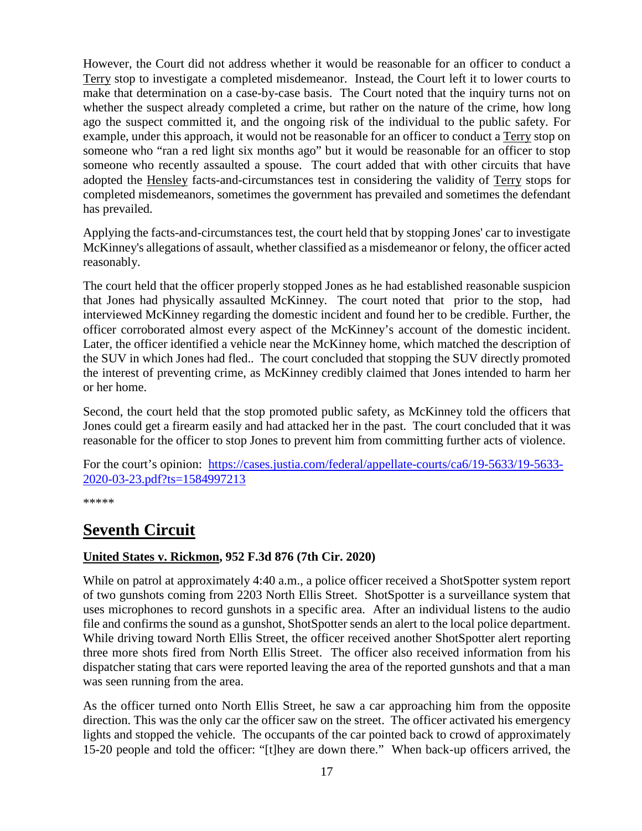However, the Court did not address whether it would be reasonable for an officer to conduct a Terry stop to investigate a completed misdemeanor. Instead, the Court left it to lower courts to make that determination on a case-by-case basis. The Court noted that the inquiry turns not on whether the suspect already completed a crime, but rather on the nature of the crime, how long ago the suspect committed it, and the ongoing risk of the individual to the public safety. For example, under this approach, it would not be reasonable for an officer to conduct a Terry stop on someone who "ran a red light six months ago" but it would be reasonable for an officer to stop someone who recently assaulted a spouse. The court added that with other circuits that have adopted the Hensley facts-and-circumstances test in considering the validity of Terry stops for completed misdemeanors, sometimes the government has prevailed and sometimes the defendant has prevailed.

Applying the facts-and-circumstances test, the court held that by stopping Jones' car to investigate McKinney's allegations of assault, whether classified as a misdemeanor or felony, the officer acted reasonably.

The court held that the officer properly stopped Jones as he had established reasonable suspicion that Jones had physically assaulted McKinney. The court noted that prior to the stop, had interviewed McKinney regarding the domestic incident and found her to be credible. Further, the officer corroborated almost every aspect of the McKinney's account of the domestic incident. Later, the officer identified a vehicle near the McKinney home, which matched the description of the SUV in which Jones had fled.. The court concluded that stopping the SUV directly promoted the interest of preventing crime, as McKinney credibly claimed that Jones intended to harm her or her home.

Second, the court held that the stop promoted public safety, as McKinney told the officers that Jones could get a firearm easily and had attacked her in the past. The court concluded that it was reasonable for the officer to stop Jones to prevent him from committing further acts of violence.

For the court's opinion: [https://cases.justia.com/federal/appellate-courts/ca6/19-5633/19-5633-](https://cases.justia.com/federal/appellate-courts/ca6/19-5633/19-5633-2020-03-23.pdf?ts=1584997213) [2020-03-23.pdf?ts=1584997213](https://cases.justia.com/federal/appellate-courts/ca6/19-5633/19-5633-2020-03-23.pdf?ts=1584997213)

\*\*\*\*\*

# <span id="page-16-0"></span>**Seventh Circuit**

### <span id="page-16-1"></span>**United States v. Rickmon, 952 F.3d 876 (7th Cir. 2020)**

While on patrol at approximately 4:40 a.m., a police officer received a ShotSpotter system report of two gunshots coming from 2203 North Ellis Street. ShotSpotter is a surveillance system that uses microphones to record gunshots in a specific area. After an individual listens to the audio file and confirms the sound as a gunshot, ShotSpotter sends an alert to the local police department. While driving toward North Ellis Street, the officer received another ShotSpotter alert reporting three more shots fired from North Ellis Street. The officer also received information from his dispatcher stating that cars were reported leaving the area of the reported gunshots and that a man was seen running from the area.

As the officer turned onto North Ellis Street, he saw a car approaching him from the opposite direction. This was the only car the officer saw on the street. The officer activated his emergency lights and stopped the vehicle. The occupants of the car pointed back to crowd of approximately 15-20 people and told the officer: "[t]hey are down there." When back-up officers arrived, the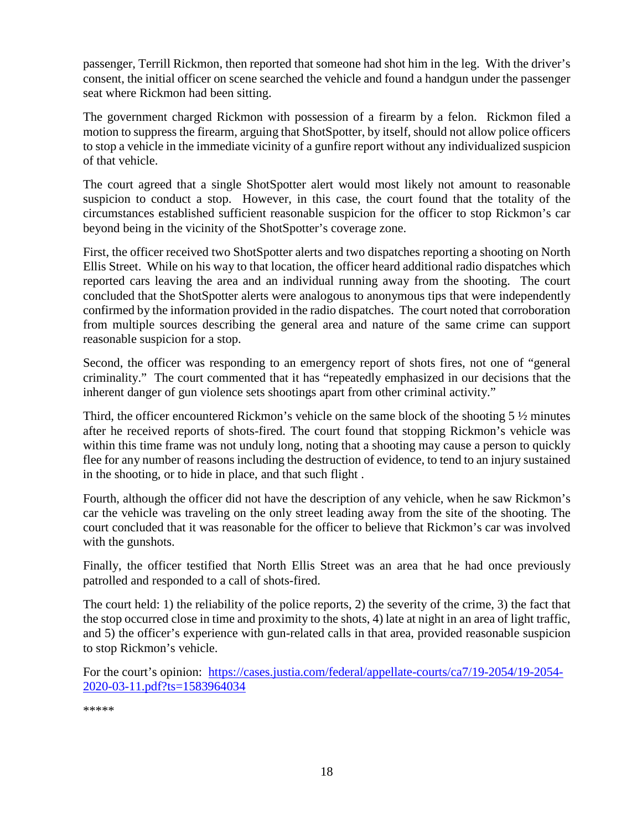passenger, Terrill Rickmon, then reported that someone had shot him in the leg. With the driver's consent, the initial officer on scene searched the vehicle and found a handgun under the passenger seat where Rickmon had been sitting.

The government charged Rickmon with possession of a firearm by a felon. Rickmon filed a motion to suppress the firearm, arguing that ShotSpotter, by itself, should not allow police officers to stop a vehicle in the immediate vicinity of a gunfire report without any individualized suspicion of that vehicle.

The court agreed that a single ShotSpotter alert would most likely not amount to reasonable suspicion to conduct a stop. However, in this case, the court found that the totality of the circumstances established sufficient reasonable suspicion for the officer to stop Rickmon's car beyond being in the vicinity of the ShotSpotter's coverage zone.

First, the officer received two ShotSpotter alerts and two dispatches reporting a shooting on North Ellis Street. While on his way to that location, the officer heard additional radio dispatches which reported cars leaving the area and an individual running away from the shooting. The court concluded that the ShotSpotter alerts were analogous to anonymous tips that were independently confirmed by the information provided in the radio dispatches. The court noted that corroboration from multiple sources describing the general area and nature of the same crime can support reasonable suspicion for a stop.

Second, the officer was responding to an emergency report of shots fires, not one of "general criminality." The court commented that it has "repeatedly emphasized in our decisions that the inherent danger of gun violence sets shootings apart from other criminal activity."

Third, the officer encountered Rickmon's vehicle on the same block of the shooting 5  $\frac{1}{2}$  minutes after he received reports of shots-fired. The court found that stopping Rickmon's vehicle was within this time frame was not unduly long, noting that a shooting may cause a person to quickly flee for any number of reasons including the destruction of evidence, to tend to an injury sustained in the shooting, or to hide in place, and that such flight .

Fourth, although the officer did not have the description of any vehicle, when he saw Rickmon's car the vehicle was traveling on the only street leading away from the site of the shooting. The court concluded that it was reasonable for the officer to believe that Rickmon's car was involved with the gunshots.

Finally, the officer testified that North Ellis Street was an area that he had once previously patrolled and responded to a call of shots-fired.

The court held: 1) the reliability of the police reports, 2) the severity of the crime, 3) the fact that the stop occurred close in time and proximity to the shots, 4) late at night in an area of light traffic, and 5) the officer's experience with gun-related calls in that area, provided reasonable suspicion to stop Rickmon's vehicle.

For the court's opinion: [https://cases.justia.com/federal/appellate-courts/ca7/19-2054/19-2054-](https://cases.justia.com/federal/appellate-courts/ca7/19-2054/19-2054-2020-03-11.pdf?ts=1583964034) [2020-03-11.pdf?ts=1583964034](https://cases.justia.com/federal/appellate-courts/ca7/19-2054/19-2054-2020-03-11.pdf?ts=1583964034)

\*\*\*\*\*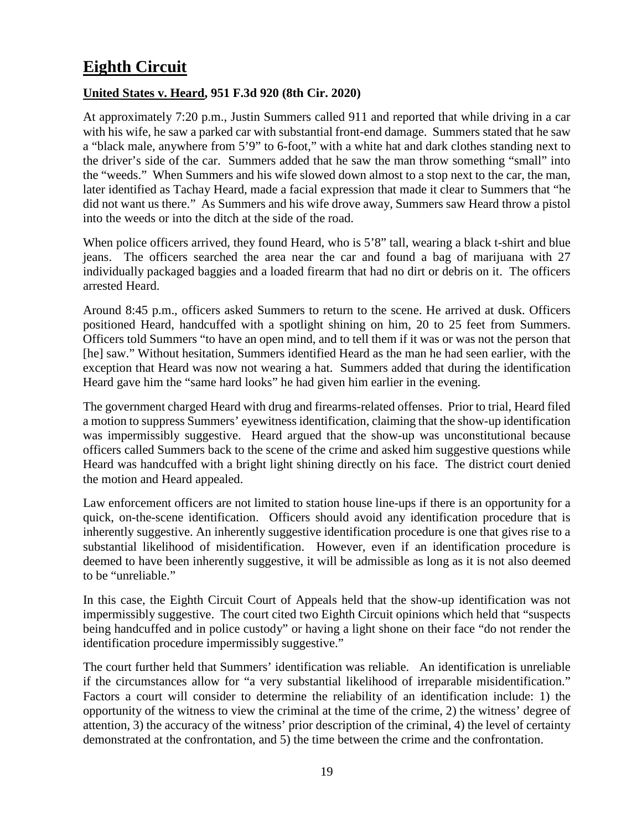# <span id="page-18-0"></span>**Eighth Circuit**

### <span id="page-18-1"></span>**United States v. Heard, 951 F.3d 920 (8th Cir. 2020)**

At approximately 7:20 p.m., Justin Summers called 911 and reported that while driving in a car with his wife, he saw a parked car with substantial front-end damage. Summers stated that he saw a "black male, anywhere from 5'9" to 6-foot," with a white hat and dark clothes standing next to the driver's side of the car. Summers added that he saw the man throw something "small" into the "weeds." When Summers and his wife slowed down almost to a stop next to the car, the man, later identified as Tachay Heard, made a facial expression that made it clear to Summers that "he did not want us there." As Summers and his wife drove away, Summers saw Heard throw a pistol into the weeds or into the ditch at the side of the road.

When police officers arrived, they found Heard, who is 5'8" tall, wearing a black t-shirt and blue jeans. The officers searched the area near the car and found a bag of marijuana with 27 individually packaged baggies and a loaded firearm that had no dirt or debris on it. The officers arrested Heard.

Around 8:45 p.m., officers asked Summers to return to the scene. He arrived at dusk. Officers positioned Heard, handcuffed with a spotlight shining on him, 20 to 25 feet from Summers. Officers told Summers "to have an open mind, and to tell them if it was or was not the person that [he] saw." Without hesitation, Summers identified Heard as the man he had seen earlier, with the exception that Heard was now not wearing a hat. Summers added that during the identification Heard gave him the "same hard looks" he had given him earlier in the evening.

The government charged Heard with drug and firearms-related offenses. Prior to trial, Heard filed a motion to suppress Summers' eyewitness identification, claiming that the show-up identification was impermissibly suggestive. Heard argued that the show-up was unconstitutional because officers called Summers back to the scene of the crime and asked him suggestive questions while Heard was handcuffed with a bright light shining directly on his face. The district court denied the motion and Heard appealed.

Law enforcement officers are not limited to station house line-ups if there is an opportunity for a quick, on-the-scene identification. Officers should avoid any identification procedure that is inherently suggestive. An inherently suggestive identification procedure is one that gives rise to a substantial likelihood of misidentification. However, even if an identification procedure is deemed to have been inherently suggestive, it will be admissible as long as it is not also deemed to be "unreliable."

In this case, the Eighth Circuit Court of Appeals held that the show-up identification was not impermissibly suggestive. The court cited two Eighth Circuit opinions which held that "suspects being handcuffed and in police custody" or having a light shone on their face "do not render the identification procedure impermissibly suggestive."

The court further held that Summers' identification was reliable. An identification is unreliable if the circumstances allow for "a very substantial likelihood of irreparable misidentification." Factors a court will consider to determine the reliability of an identification include: 1) the opportunity of the witness to view the criminal at the time of the crime, 2) the witness' degree of attention, 3) the accuracy of the witness' prior description of the criminal, 4) the level of certainty demonstrated at the confrontation, and 5) the time between the crime and the confrontation.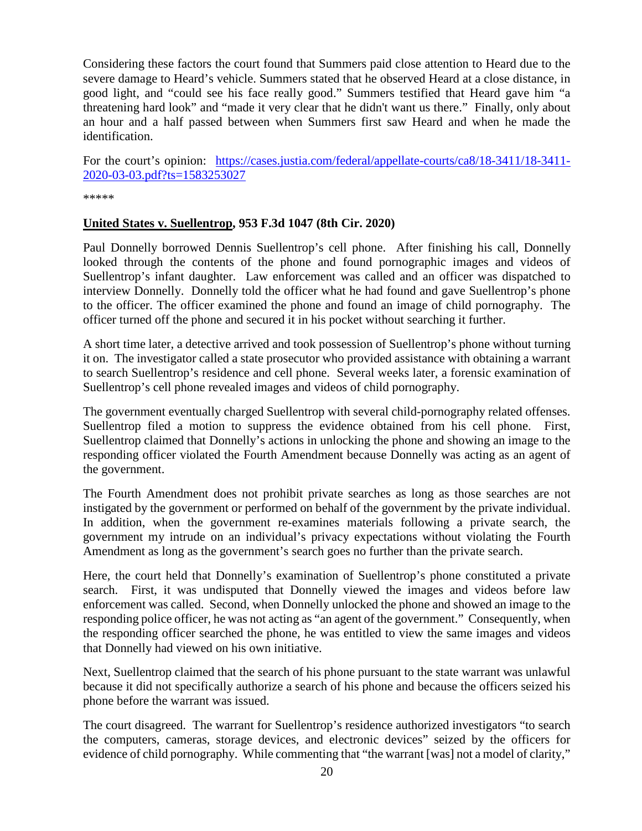Considering these factors the court found that Summers paid close attention to Heard due to the severe damage to Heard's vehicle. Summers stated that he observed Heard at a close distance, in good light, and "could see his face really good." Summers testified that Heard gave him "a threatening hard look" and "made it very clear that he didn't want us there." Finally, only about an hour and a half passed between when Summers first saw Heard and when he made the identification.

For the court's opinion: [https://cases.justia.com/federal/appellate-courts/ca8/18-3411/18-3411-](https://cases.justia.com/federal/appellate-courts/ca8/18-3411/18-3411-2020-03-03.pdf?ts=1583253027) [2020-03-03.pdf?ts=1583253027](https://cases.justia.com/federal/appellate-courts/ca8/18-3411/18-3411-2020-03-03.pdf?ts=1583253027)

\*\*\*\*\*

### <span id="page-19-0"></span>**United States v. Suellentrop, 953 F.3d 1047 (8th Cir. 2020)**

Paul Donnelly borrowed Dennis Suellentrop's cell phone. After finishing his call, Donnelly looked through the contents of the phone and found pornographic images and videos of Suellentrop's infant daughter. Law enforcement was called and an officer was dispatched to interview Donnelly. Donnelly told the officer what he had found and gave Suellentrop's phone to the officer. The officer examined the phone and found an image of child pornography. The officer turned off the phone and secured it in his pocket without searching it further.

A short time later, a detective arrived and took possession of Suellentrop's phone without turning it on. The investigator called a state prosecutor who provided assistance with obtaining a warrant to search Suellentrop's residence and cell phone. Several weeks later, a forensic examination of Suellentrop's cell phone revealed images and videos of child pornography.

The government eventually charged Suellentrop with several child-pornography related offenses. Suellentrop filed a motion to suppress the evidence obtained from his cell phone. First, Suellentrop claimed that Donnelly's actions in unlocking the phone and showing an image to the responding officer violated the Fourth Amendment because Donnelly was acting as an agent of the government.

The Fourth Amendment does not prohibit private searches as long as those searches are not instigated by the government or performed on behalf of the government by the private individual. In addition, when the government re-examines materials following a private search, the government my intrude on an individual's privacy expectations without violating the Fourth Amendment as long as the government's search goes no further than the private search.

Here, the court held that Donnelly's examination of Suellentrop's phone constituted a private search. First, it was undisputed that Donnelly viewed the images and videos before law enforcement was called. Second, when Donnelly unlocked the phone and showed an image to the responding police officer, he was not acting as "an agent of the government." Consequently, when the responding officer searched the phone, he was entitled to view the same images and videos that Donnelly had viewed on his own initiative.

Next, Suellentrop claimed that the search of his phone pursuant to the state warrant was unlawful because it did not specifically authorize a search of his phone and because the officers seized his phone before the warrant was issued.

The court disagreed. The warrant for Suellentrop's residence authorized investigators "to search the computers, cameras, storage devices, and electronic devices" seized by the officers for evidence of child pornography. While commenting that "the warrant [was] not a model of clarity,"